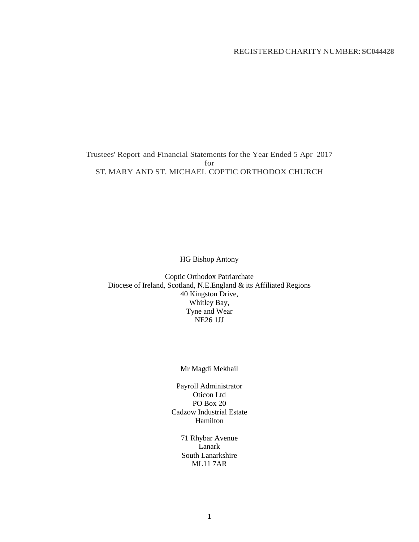## REGISTERED CHARITYNUMBER:**SC044428**

Trustees' Report and Financial Statements for the Year Ended 5 Apr 2017 for ST. MARY AND ST. MICHAEL COPTIC ORTHODOX CHURCH

HG Bishop Antony

Coptic Orthodox Patriarchate Diocese of Ireland, Scotland, N.E.England & its Affiliated Regions 40 Kingston Drive, Whitley Bay, Tyne and Wear NE26 1JJ

## Mr Magdi Mekhail

Payroll Administrator Oticon Ltd PO Box 20 Cadzow Industrial Estate Hamilton

> 71 Rhybar Avenue Lanark South Lanarkshire ML11 7AR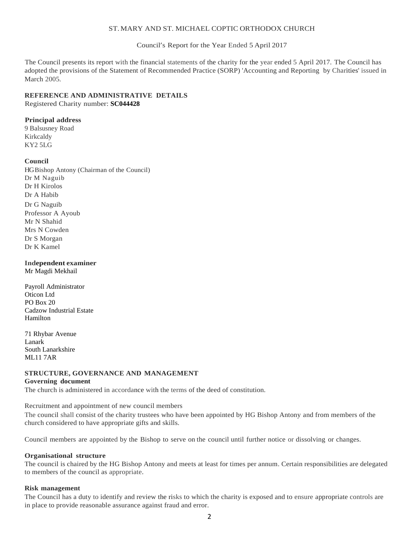#### ST. MARY AND ST. MICHAEL COPTIC ORTHODOX CHURCH

Council's Report for the Year Ended 5 April 2017

The Council presents its report with the financial statements of the charity for the year ended 5 April 2017. The Council has adopted the provisions of the Statement of Recommended Practice (SORP) 'Accounting and Reporting by Charities' issued in March 2005.

## **REFERENCE AND ADMINISTRATIVE DETAILS**

Registered Charity number: **SC044428**

## **Principal address**

9 Balsusney Road Kirkcaldy KY2 5LG

## **Council**

HG Bishop Antony (Chairman of the Council) Dr M Naguib Dr H Kirolos Dr A Habib Dr G Naguib Professor A Ayoub Mr N Shahid Mrs N Cowden Dr S Morgan Dr K Kamel

## **Independent examiner**

Mr Magdi Mekhail

Payroll Administrator Oticon Ltd PO Box 20 Cadzow Industrial Estate Hamilton

71 Rhybar Avenue Lanark South Lanarkshire ML11 7AR

# **STRUCTURE, GOVERNANCE AND MANAGEMENT**

## **Governing document**

The church is administered in accordance with the terms of the deed of constitution.

Recruitment and appointment of new council members The council shall consist of the charity trustees who have been appointed by HG Bishop Antony and from members of the church considered to have appropriate gifts and skills.

Council members are appointed by the Bishop to serve on the council until further notice or dissolving or changes.

#### **Organisational structure**

The council is chaired by the HG Bishop Antony and meets at least for times per annum. Certain responsibilities are delegated to members of the council as appropriate.

#### **Risk management**

The Council has a duty to identify and review the risks to which the charity is exposed and to ensure appropriate controls are in place to provide reasonable assurance against fraud and error.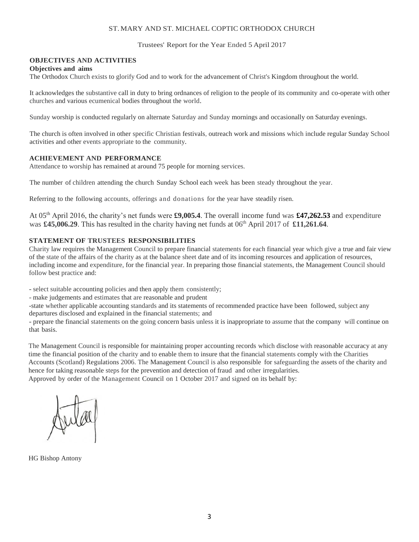#### ST. MARY AND ST. MICHAEL COPTIC ORTHODOX CHURCH

Trustees' Report for the Year Ended 5 April 2017

## **OBJECTIVES AND ACTIVITIES**

#### **Objectives and aims**

The Orthodox Church exists to glorify God and to work for the advancement of Christ's Kingdom throughout the world.

It acknowledges the substantive call in duty to bring ordnances of religion to the people of its community and co-operate with other churches and various ecumenical bodies throughout the world.

Sunday worship is conducted regularly on alternate Saturday and Sunday mornings and occasionally on Saturday evenings.

The church is often involved in other specific Christian festivals, outreach work and missions which include regular Sunday School activities and other events appropriate to the community.

#### **ACHIEVEMENT AND PERFORMANCE**

Attendance to worship has remained at around 75 people for morning services.

The number of children attending the church Sunday School each week has been steady throughout the year.

Referring to the following accounts, offerings and donations for the year have steadily risen.

At 05th April 2016, the charity's net funds were **£9,005.4**. The overall income fund was **£47,262.53** and expenditure was **£45,006.29**. This has resulted in the charity having net funds at 06<sup>th</sup> April 2017 of **£11,261.64**.

## **STATEMENT OF TRUSTEES RESPONSIBILITIES**

Charity law requires the Management Council to prepare financial statements for each financial year which give a true and fair view of the state of the affairs of the charity as at the balance sheet date and of its incoming resources and application of resources, including income and expenditure, for the financial year. In preparing those financial statements, the Management Council should follow best practice and:

- select suitable accounting policies and then apply them consistently;

- make judgements and estimates that are reasonable and prudent

-state whether applicable accounting standards and its statements of recommended practice have been followed, subject any departures disclosed and explained in the financial statements; and

- prepare the financial statements on the going concern basis unless it is inappropriate to assume that the company will continue on that basis.

The Management Council is responsible for maintaining proper accounting records which disclose with reasonable accuracy at any time the financial position of the charity and to enable them to insure that the financial statements comply with the Charities Accounts (Scotland) Regulations 2006. The Management Council is also responsible for safeguarding the assets of the charity and hence for taking reasonable steps for the prevention and detection of fraud and other irregularities.

Approved by order of the Management Council on 1 October 2017 and signed on its behalf by:

HG Bishop Antony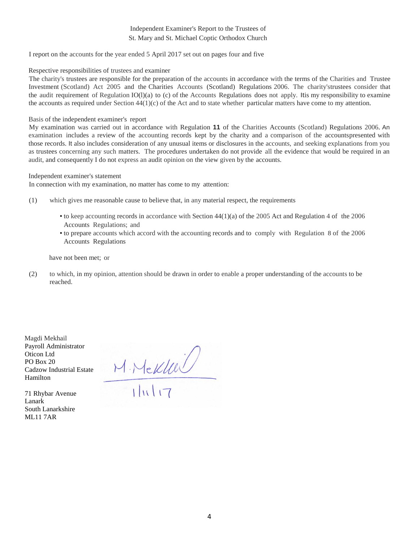## Independent Examiner's Report to the Trustees of St. Mary and St. Michael Coptic Orthodox Church

I report on the accounts for the year ended 5 April 2017 set out on pages four and five

#### Respective responsibilities of trustees and examiner

The charity's trustees are responsible for the preparation of the accounts in accordance with the terms of the Charities and Trustee Investment (Scotland) Act 2005 and the Charities Accounts (Scotland) Regulations 2006. The charity'strustees consider that the audit requirement of Regulation IO(l)(a) to (c) of the Accounts Regulations does not apply. Itis my responsibility to examine the accounts as required under Section  $44(1)(c)$  of the Act and to state whether particular matters have come to my attention.

#### Basis of the independent examiner's report

My examination was carried out in accordance with Regulation **11** of the Charities Accounts (Scotland) Regulations 2006. An examination includes a review of the accounting records kept by the charity and a comparison of the accountspresented with those records. It also includes consideration of any unusual items or disclosures in the accounts, and seeking explanations from you as trustees concerning any such matters. The procedures undertaken do not provide all the evidence that would be required in an audit, and consequently I do not express an audit opinion on the view given by the accounts.

Independent examiner's statement

In connection with my examination, no matter has come to my attention:

- (1) which gives me reasonable cause to believe that, in any material respect, the requirements
	- to keep accounting records in accordance with Section 44(1)(a) of the 2005 Act and Regulation 4 of the 2006 Accounts Regulations; and
	- to prepare accounts which accord with the accounting records and to comply with Regulation 8 of the 2006 Accounts Regulations

have not been met; or

(2) to which, in my opinion, attention should be drawn in order to enable a proper understanding of the accounts to be reached.

Magdi Mekhail Payroll Administrator Oticon Ltd PO Box 20 Cadzow Industrial Estate Hamilton

71 Rhybar Avenue Lanark South Lanarkshire ML11 7AR

 $M$ . Mekkel